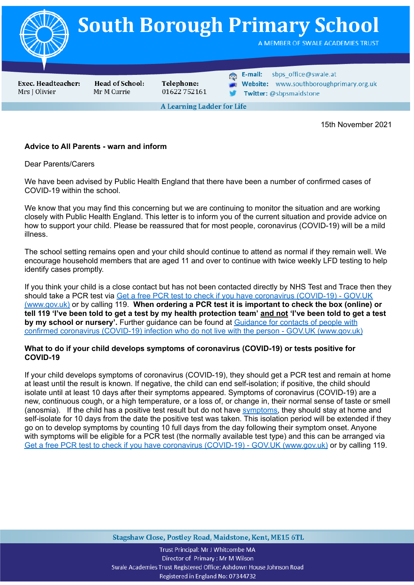

15th November 2021

## **Advice to All Parents - warn and inform**

Dear Parents/Carers

We have been advised by Public Health England that there have been a number of confirmed cases of COVID-19 within the school.

We know that you may find this concerning but we are continuing to monitor the situation and are working closely with Public Health England. This letter is to inform you of the current situation and provide advice on how to support your child. Please be reassured that for most people, coronavirus (COVID-19) will be a mild illness.

The school setting remains open and your child should continue to attend as normal if they remain well. We encourage household members that are aged 11 and over to continue with twice weekly LFD testing to help identify cases promptly.

If you think your child is a close contact but has not been contacted directly by NHS Test and Trace then they should take a PCR test via Get a free PCR test to check if you have coronavirus [\(COVID-19\)](https://www.gov.uk/get-coronavirus-test) - GOV.UK [\(www.gov.uk\)](https://www.gov.uk/get-coronavirus-test) or by calling 119. **When ordering a PCR test it is important to check the box (online) or** tell 119 'I've been told to get a test by my health protection team' and not 'I've been told to get a test **by my school or nursery'.** Further guidance can be found at [Guidance](https://www.gov.uk/government/publications/guidance-for-contacts-of-people-with-possible-or-confirmed-coronavirus-covid-19-infection-who-do-not-live-with-the-person/guidance-for-contacts-of-people-with-possible-or-confirmed-coronavirus-covid-19-infection-who-do-not-live-with-the-person#i-think-i-have-had-contact-with-someone-who-has-tested-positive-for-covid-19-but-i-have-not-been-notified-and-advised-to-self-isolate-what-should-i-do) for contacts of people with confirmed coronavirus (COVID-19) infection who do not live with the person - GOV.UK [\(www.gov.uk\)](https://www.gov.uk/government/publications/guidance-for-contacts-of-people-with-possible-or-confirmed-coronavirus-covid-19-infection-who-do-not-live-with-the-person/guidance-for-contacts-of-people-with-possible-or-confirmed-coronavirus-covid-19-infection-who-do-not-live-with-the-person#i-think-i-have-had-contact-with-someone-who-has-tested-positive-for-covid-19-but-i-have-not-been-notified-and-advised-to-self-isolate-what-should-i-do)

### **What to do if your child develops symptoms of coronavirus (COVID-19) or tests positive for COVID-19**

If your child develops symptoms of coronavirus (COVID-19), they should get a PCR test and remain at home at least until the result is known. If negative, the child can end self-isolation; if positive, the child should isolate until at least 10 days after their symptoms appeared. Symptoms of coronavirus (COVID-19) are a new, continuous cough, or a high temperature, or a loss of, or change in, their normal sense of taste or smell (anosmia). If the child has a positive test result but do not have [symptoms,](https://www.gov.uk/government/publications/covid-19-stay-at-home-guidance/stay-at-home-guidance-for-households-with-possible-coronavirus-covid-19-infection#symptoms) they should stay at home and self-isolate for 10 days from the date the positive test was taken. This isolation period will be extended if they go on to develop symptoms by counting 10 full days from the day following their symptom onset. Anyone with symptoms will be eligible for a PCR test (the normally available test type) and this can be arranged via Get a free PCR test to check if you have coronavirus (COVID-19) - GOV.UK [\(www.gov.uk\)](https://www.gov.uk/get-coronavirus-test) or by calling 119.

Stagshaw Close, Postley Road, Maidstone, Kent, ME15 6TL

Trust Principal: Mr J Whitcombe MA Director of Primary: Mr M Wilson Swale Academies Trust Registered Office: Ashdown House Johnson Road Registered in England No: 07344732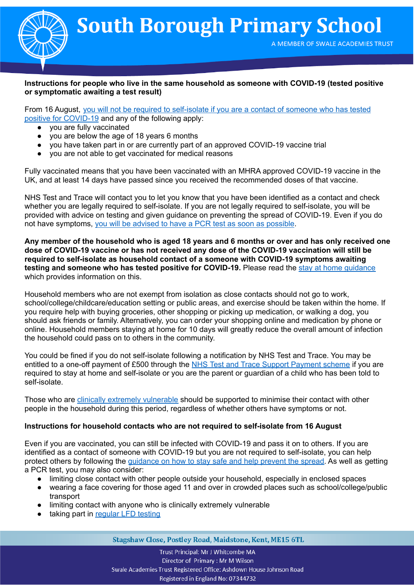

# **Instructions for people who live in the same household as someone with COVID-19 (tested positive or symptomatic awaiting a test result)**

From 16 August, you will not be required to [self-isolate](https://www.gov.uk/government/publications/covid-19-stay-at-home-guidance/stay-at-home-guidance-for-households-with-possible-coronavirus-covid-19-infection#exempt) if you are a contact of someone who has tested positive for [COVID-19](https://www.gov.uk/government/publications/covid-19-stay-at-home-guidance/stay-at-home-guidance-for-households-with-possible-coronavirus-covid-19-infection#exempt) and any of the following apply:

- you are fully vaccinated
- you are below the age of 18 years 6 months
- you have taken part in or are currently part of an approved COVID-19 vaccine trial
- you are not able to get vaccinated for medical reasons

Fully vaccinated means that you have been vaccinated with an MHRA approved COVID-19 vaccine in the UK, and at least 14 days have passed since you received the recommended doses of that vaccine.

NHS Test and Trace will contact you to let you know that you have been identified as a contact and check whether you are legally required to self-isolate. If you are not legally required to self-isolate, you will be provided with advice on testing and given guidance on preventing the spread of COVID-19. Even if you do not have symptoms, you will be advised to have a PCR test as soon as [possible](https://www.gov.uk/government/publications/covid-19-stay-at-home-guidance/stay-at-home-guidance-for-households-with-possible-coronavirus-covid-19-infection#PCR).

Any member of the household who is aged 18 years and 6 months or over and has only received one **dose of COVID-19 vaccine or has not received any dose of the COVID-19 vaccination will still be required to self-isolate as household contact of a someone with COVID-19 symptoms awaiting testing and someone who has tested positive for COVID-19.** Please read the stay at home [guidance](https://www.gov.uk/government/publications/covid-19-stay-at-home-guidance) which provides information on this.

Household members who are not exempt from isolation as close contacts should not go to work, school/college/childcare/education setting or public areas, and exercise should be taken within the home. If you require help with buying groceries, other shopping or picking up medication, or walking a dog, you should ask friends or family. Alternatively, you can order your shopping online and medication by phone or online. Household members staying at home for 10 days will greatly reduce the overall amount of infection the household could pass on to others in the community.

You could be fined if you do not self-isolate following a notification by NHS Test and Trace. You may be entitled to a one-off payment of £500 through the NHS Test and Trace Support [Payment](https://www.gov.uk/government/publications/test-and-trace-support-payment-scheme-claiming-financial-support/claiming-financial-support-under-the-test-and-trace-support-payment-scheme) scheme if you are required to stay at home and self-isolate or you are the parent or guardian of a child who has been told to self-isolate.

Those who are clinically extremely [vulnerable](https://www.gov.uk/government/publications/guidance-on-shielding-and-protecting-extremely-vulnerable-persons-from-covid-19/guidance-on-shielding-and-protecting-extremely-vulnerable-persons-from-covid-19) should be supported to minimise their contact with other people in the household during this period, regardless of whether others have symptoms or not.

## **Instructions for household contacts who are not required to self-isolate from 16 August**

Even if you are vaccinated, you can still be infected with COVID-19 and pass it on to others. If you are identified as a contact of someone with COVID-19 but you are not required to self-isolate, you can help protect others by following the [guidance](https://www.gov.uk/guidance/covid-19-coronavirus-restrictions-what-you-can-and-cannot-do#keeping-yourself-and-others-safe) on how to stay safe and help prevent the spread. As well as getting a PCR test, you may also consider:

- limiting close contact with other people outside your household, especially in enclosed spaces
- wearing a face covering for those aged 11 and over in crowded places such as school/college/public transport
- limiting contact with anyone who is clinically extremely vulnerable
- taking part in [regular](https://www.gov.uk/order-coronavirus-rapid-lateral-flow-tests) LFD testing

Stagshaw Close, Postley Road, Maidstone, Kent, ME15 6TL